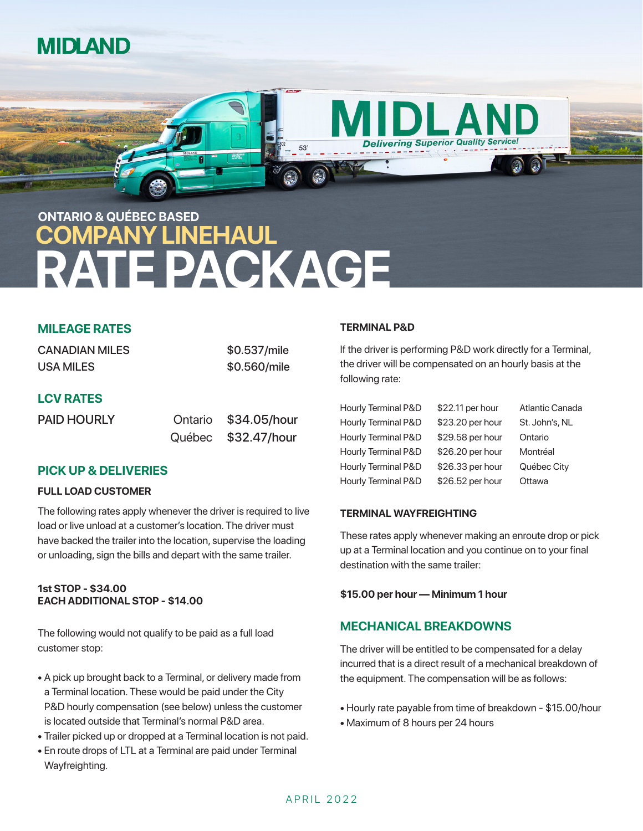



# **REPACKAGE**

#### **MILEAGE RATES**

| <b>CANADIAN MILES</b> | \$0.537/mile |
|-----------------------|--------------|
| USA MILES             | \$0.560/mile |
| <b>I AV DATEC</b>     |              |

#### **LCV RATES**

| <b>PAID HOURLY</b> | Ontario \$34.05/hour |
|--------------------|----------------------|
|                    | Québec \$32.47/hour  |

#### **PICK UP & DELIVERIES**

#### **FULL LOAD CUSTOMER**

The following rates apply whenever the driver is required to live load or live unload at a customer's location. The driver must have backed the trailer into the location, supervise the loading or unloading, sign the bills and depart with the same trailer.

#### **1st STOP - \$34.00 EACH ADDITIONAL STOP - \$14.00**

The following would not qualify to be paid as a full load customer stop:

- A pick up brought back to a Terminal, or delivery made from a Terminal location. These would be paid under the City P&D hourly compensation (see below) unless the customer is located outside that Terminal's normal P&D area.
- Trailer picked up or dropped at a Terminal location is not paid.
- En route drops of LTL at a Terminal are paid under Terminal Wayfreighting.

#### **TERMINAL P&D**

If the driver is performing P&D work directly for a Terminal, the driver will be compensated on an hourly basis at the following rate:

| Hourly Terminal P&D | \$22.11 per hour | Atlantic Canada |
|---------------------|------------------|-----------------|
| Hourly Terminal P&D | \$23.20 per hour | St. John's, NL  |
| Hourly Terminal P&D | \$29.58 per hour | Ontario         |
| Hourly Terminal P&D | \$26.20 per hour | Montréal        |
| Hourly Terminal P&D | \$26.33 per hour | Québec City     |
| Hourly Terminal P&D | \$26.52 per hour | Ottawa          |

#### **TERMINAL WAYFREIGHTING**

These rates apply whenever making an enroute drop or pick up at a Terminal location and you continue on to your final destination with the same trailer:

#### **\$15.00 per hour — Minimum 1 hour**

#### **MECHANICAL BREAKDOWNS**

The driver will be entitled to be compensated for a delay incurred that is a direct result of a mechanical breakdown of the equipment. The compensation will be as follows:

- Hourly rate payable from time of breakdown \$15.00/hour
- Maximum of 8 hours per 24 hours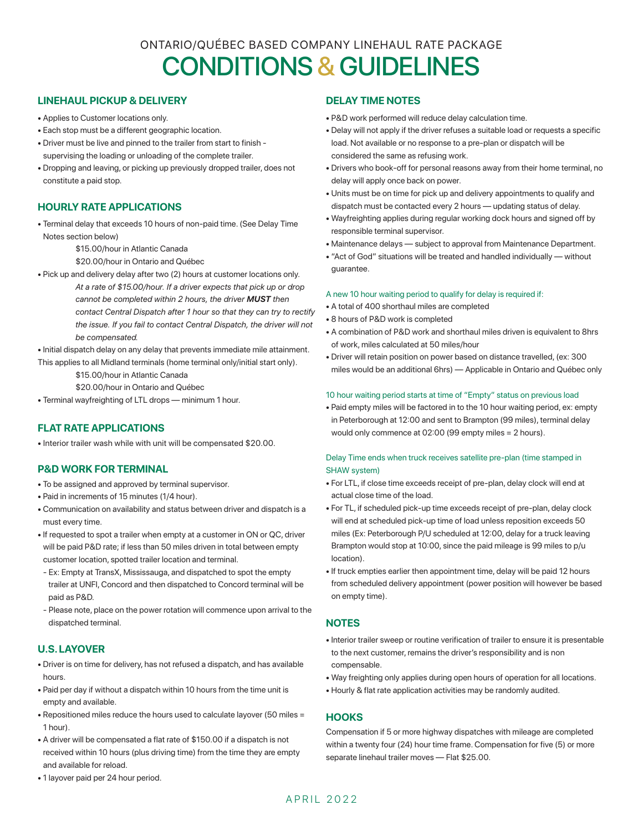### ONTARIO/QUÉBEC BASED COMPANY LINEHAUL RATE PACKAGE CONDITIONS & GUIDELINES

#### **LINEHAUL PICKUP & DELIVERY**

- Applies to Customer locations only.
- Each stop must be a different geographic location.
- Driver must be live and pinned to the trailer from start to finish supervising the loading or unloading of the complete trailer.
- Dropping and leaving, or picking up previously dropped trailer, does not constitute a paid stop.

#### **HOURLY RATE APPLICATIONS**

• Terminal delay that exceeds 10 hours of non-paid time. (See Delay Time Notes section below)

\$15.00/hour in Atlantic Canada

\$20.00/hour in Ontario and Québec

• Pick up and delivery delay after two (2) hours at customer locations only. *At a rate of \$15.00/hour. If a driver expects that pick up or drop cannot be completed within 2 hours, the driver MUST then contact Central Dispatch after 1 hour so that they can try to rectify the issue. If you fail to contact Central Dispatch, the driver will not be compensated.*

• Initial dispatch delay on any delay that prevents immediate mile attainment. This applies to all Midland terminals (home terminal only/initial start only).

\$15.00/hour in Atlantic Canada

\$20.00/hour in Ontario and Québec

• Terminal wayfreighting of LTL drops — minimum 1 hour.

#### **FLAT RATE APPLICATIONS**

• Interior trailer wash while with unit will be compensated \$20.00.

#### **P&D WORK FOR TERMINAL**

- To be assigned and approved by terminal supervisor.
- Paid in increments of 15 minutes (1/4 hour).
- Communication on availability and status between driver and dispatch is a must every time.
- If requested to spot a trailer when empty at a customer in ON or QC, driver will be paid P&D rate; if less than 50 miles driven in total between empty customer location, spotted trailer location and terminal.
- Ex: Empty at TransX, Mississauga, and dispatched to spot the empty trailer at UNFI, Concord and then dispatched to Concord terminal will be paid as P&D.
- Please note, place on the power rotation will commence upon arrival to the dispatched terminal.

#### **U.S. LAYOVER**

- Driver is on time for delivery, has not refused a dispatch, and has available hours.
- Paid per day if without a dispatch within 10 hours from the time unit is empty and available.
- Repositioned miles reduce the hours used to calculate layover (50 miles = 1 hour).
- A driver will be compensated a flat rate of \$150.00 if a dispatch is not received within 10 hours (plus driving time) from the time they are empty and available for reload.
- 1 layover paid per 24 hour period.

#### **DELAY TIME NOTES**

- P&D work performed will reduce delay calculation time.
- Delay will not apply if the driver refuses a suitable load or requests a specific load. Not available or no response to a pre-plan or dispatch will be considered the same as refusing work.
- Drivers who book-off for personal reasons away from their home terminal, no delay will apply once back on power.
- Units must be on time for pick up and delivery appointments to qualify and dispatch must be contacted every 2 hours — updating status of delay.
- Wayfreighting applies during regular working dock hours and signed off by responsible terminal supervisor.
- Maintenance delays subject to approval from Maintenance Department.
- "Act of God" situations will be treated and handled individually without guarantee.

#### A new 10 hour waiting period to qualify for delay is required if:

- A total of 400 shorthaul miles are completed
- 8 hours of P&D work is completed
- A combination of P&D work and shorthaul miles driven is equivalent to 8hrs of work, miles calculated at 50 miles/hour
- Driver will retain position on power based on distance travelled, (ex: 300 miles would be an additional 6hrs) — Applicable in Ontario and Québec only

#### 10 hour waiting period starts at time of "Empty" status on previous load

• Paid empty miles will be factored in to the 10 hour waiting period, ex: empty in Peterborough at 12:00 and sent to Brampton (99 miles), terminal delay would only commence at 02:00 (99 empty miles = 2 hours).

#### Delay Time ends when truck receives satellite pre-plan (time stamped in SHAW system)

- For LTL, if close time exceeds receipt of pre-plan, delay clock will end at actual close time of the load.
- For TL, if scheduled pick-up time exceeds receipt of pre-plan, delay clock will end at scheduled pick-up time of load unless reposition exceeds 50 miles (Ex: Peterborough P/U scheduled at 12:00, delay for a truck leaving Brampton would stop at 10:00, since the paid mileage is 99 miles to p/u location).
- If truck empties earlier then appointment time, delay will be paid 12 hours from scheduled delivery appointment (power position will however be based on empty time).

#### **NOTES**

- Interior trailer sweep or routine verification of trailer to ensure it is presentable to the next customer, remains the driver's responsibility and is non compensable.
- Way freighting only applies during open hours of operation for all locations.
- Hourly & flat rate application activities may be randomly audited.

#### **HOOKS**

Compensation if 5 or more highway dispatches with mileage are completed within a twenty four (24) hour time frame. Compensation for five (5) or more separate linehaul trailer moves — Flat \$25.00.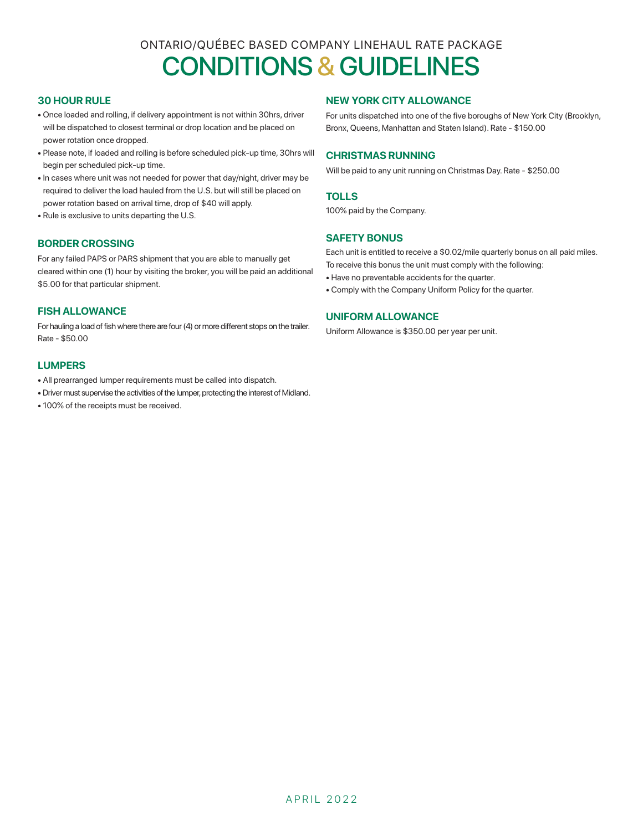## ONTARIO/QUÉBEC BASED COMPANY LINEHAUL RATE PACKAGE CONDITIONS & GUIDELINES

#### **30 HOUR RULE**

- Once loaded and rolling, if delivery appointment is not within 30hrs, driver will be dispatched to closest terminal or drop location and be placed on power rotation once dropped.
- Please note, if loaded and rolling is before scheduled pick-up time, 30hrs will begin per scheduled pick-up time.
- In cases where unit was not needed for power that day/night, driver may be required to deliver the load hauled from the U.S. but will still be placed on power rotation based on arrival time, drop of \$40 will apply.
- Rule is exclusive to units departing the U.S.

#### **BORDER CROSSING**

For any failed PAPS or PARS shipment that you are able to manually get cleared within one (1) hour by visiting the broker, you will be paid an additional \$5.00 for that particular shipment.

#### **FISH ALLOWANCE**

For hauling a load of fish where there are four (4) or more different stops on the trailer. Rate - \$50.00

#### **LUMPERS**

- All prearranged lumper requirements must be called into dispatch.
- Driver must supervise the activities of the lumper, protecting the interest of Midland.
- 100% of the receipts must be received.

#### **NEW YORK CITY ALLOWANCE**

For units dispatched into one of the five boroughs of New York City (Brooklyn, Bronx, Queens, Manhattan and Staten Island). Rate - \$150.00

#### **CHRISTMAS RUNNING**

Will be paid to any unit running on Christmas Day. Rate - \$250.00

#### **TOLLS**

100% paid by the Company.

#### **SAFETY BONUS**

Each unit is entitled to receive a \$0.02/mile quarterly bonus on all paid miles. To receive this bonus the unit must comply with the following:

• Have no preventable accidents for the quarter.

• Comply with the Company Uniform Policy for the quarter.

#### **UNIFORM ALLOWANCE**

Uniform Allowance is \$350.00 per year per unit.